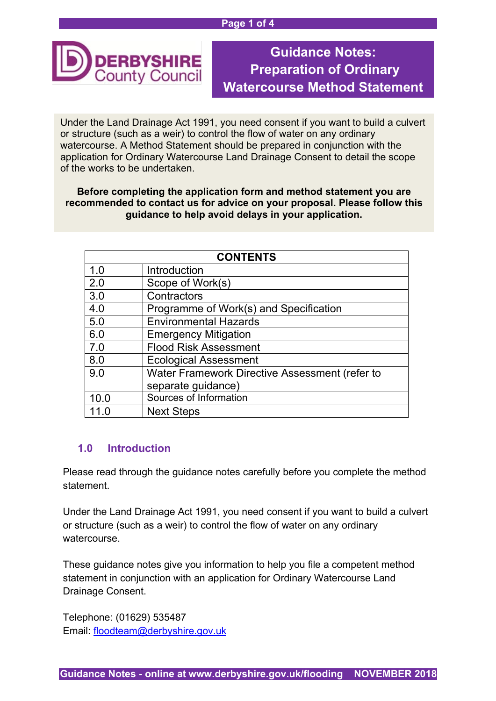#### **Page 1 of 4**



# **Guidance Notes: Preparation of Ordinary Watercourse Method Statement**

Under the Land Drainage Act 1991, you need consent if you want to build a culvert or structure (such as a weir) to control the flow of water on any ordinary watercourse. A Method Statement should be prepared in conjunction with the application for Ordinary Watercourse Land Drainage Consent to detail the scope of the works to be undertaken.

## **Before completing the application form and method statement you are recommended to contact us for advice on your proposal. Please follow this guidance to help avoid delays in your application.**

| <b>CONTENTS</b> |                                                |
|-----------------|------------------------------------------------|
| 1.0             | Introduction                                   |
| 2.0             | Scope of Work(s)                               |
| 3.0             | Contractors                                    |
| 4.0             | Programme of Work(s) and Specification         |
| 5.0             | <b>Environmental Hazards</b>                   |
| 6.0             | <b>Emergency Mitigation</b>                    |
| 7.0             | <b>Flood Risk Assessment</b>                   |
| 8.0             | <b>Ecological Assessment</b>                   |
| 9.0             | Water Framework Directive Assessment (refer to |
|                 | separate guidance)                             |
| 10.0            | Sources of Information                         |
|                 | <b>Next Steps</b>                              |

# **1.0 Introduction**

Please read through the guidance notes carefully before you complete the method statement.

Under the Land Drainage Act 1991, you need consent if you want to build a culvert or structure (such as a weir) to control the flow of water on any ordinary watercourse.

These guidance notes give you information to help you file a competent method statement in conjunction with an application for Ordinary Watercourse Land Drainage Consent.

Telephone: (01629) 535487 Email: [floodteam@derbyshire.gov.uk](mailto:floodteam@derbyshire.gov.uk)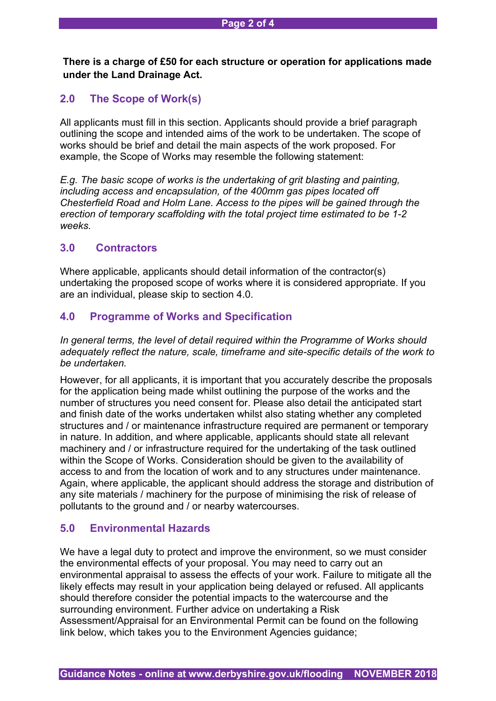**There is a charge of £50 for each structure or operation for applications made under the Land Drainage Act.**

# **2.0 The Scope of Work(s)**

All applicants must fill in this section. Applicants should provide a brief paragraph outlining the scope and intended aims of the work to be undertaken. The scope of works should be brief and detail the main aspects of the work proposed. For example, the Scope of Works may resemble the following statement:

*E.g. The basic scope of works is the undertaking of grit blasting and painting, including access and encapsulation, of the 400mm gas pipes located off Chesterfield Road and Holm Lane. Access to the pipes will be gained through the erection of temporary scaffolding with the total project time estimated to be 1-2 weeks.*

## **3.0 Contractors**

Where applicable, applicants should detail information of the contractor(s) undertaking the proposed scope of works where it is considered appropriate. If you are an individual, please skip to section 4.0.

## **4.0 Programme of Works and Specification**

*In general terms, the level of detail required within the Programme of Works should adequately reflect the nature, scale, timeframe and site-specific details of the work to be undertaken.*

However, for all applicants, it is important that you accurately describe the proposals for the application being made whilst outlining the purpose of the works and the number of structures you need consent for. Please also detail the anticipated start and finish date of the works undertaken whilst also stating whether any completed structures and / or maintenance infrastructure required are permanent or temporary in nature. In addition, and where applicable, applicants should state all relevant machinery and / or infrastructure required for the undertaking of the task outlined within the Scope of Works. Consideration should be given to the availability of access to and from the location of work and to any structures under maintenance. Again, where applicable, the applicant should address the storage and distribution of any site materials / machinery for the purpose of minimising the risk of release of pollutants to the ground and / or nearby watercourses.

## **5.0 Environmental Hazards**

We have a legal duty to protect and improve the environment, so we must consider the environmental effects of your proposal. You may need to carry out an environmental appraisal to assess the effects of your work. Failure to mitigate all the likely effects may result in your application being delayed or refused. All applicants should therefore consider the potential impacts to the watercourse and the surrounding environment. Further advice on undertaking a Risk Assessment/Appraisal for an Environmental Permit can be found on the following link below, which takes you to the Environment Agencies guidance;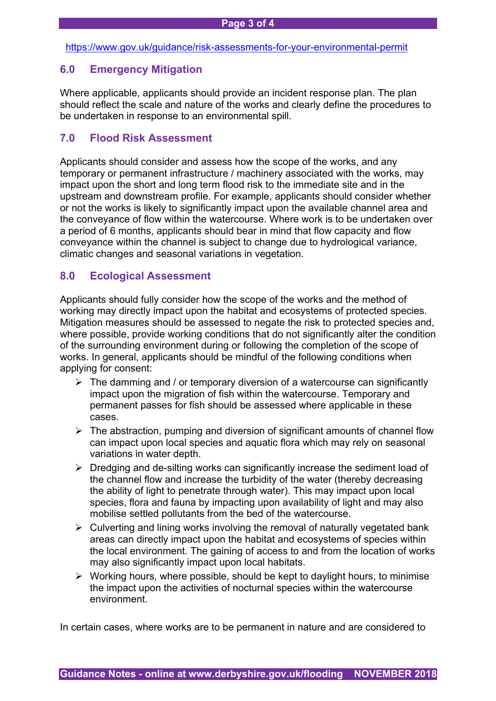#### <https://www.gov.uk/guidance/risk-assessments-for-your-environmental-permit>

## **6.0 Emergency Mitigation**

Where applicable, applicants should provide an incident response plan. The plan should reflect the scale and nature of the works and clearly define the procedures to be undertaken in response to an environmental spill.

## **7.0 Flood Risk Assessment**

Applicants should consider and assess how the scope of the works, and any temporary or permanent infrastructure / machinery associated with the works, may impact upon the short and long term flood risk to the immediate site and in the upstream and downstream profile. For example, applicants should consider whether or not the works is likely to significantly impact upon the available channel area and the conveyance of flow within the watercourse. Where work is to be undertaken over a period of 6 months, applicants should bear in mind that flow capacity and flow conveyance within the channel is subject to change due to hydrological variance, climatic changes and seasonal variations in vegetation.

## **8.0 Ecological Assessment**

Applicants should fully consider how the scope of the works and the method of working may directly impact upon the habitat and ecosystems of protected species. Mitigation measures should be assessed to negate the risk to protected species and, where possible, provide working conditions that do not significantly alter the condition of the surrounding environment during or following the completion of the scope of works. In general, applicants should be mindful of the following conditions when applying for consent:

- $\triangleright$  The damming and / or temporary diversion of a watercourse can significantly impact upon the migration of fish within the watercourse. Temporary and permanent passes for fish should be assessed where applicable in these cases.
- $\triangleright$  The abstraction, pumping and diversion of significant amounts of channel flow can impact upon local species and aquatic flora which may rely on seasonal variations in water depth.
- $\triangleright$  Dredging and de-silting works can significantly increase the sediment load of the channel flow and increase the turbidity of the water (thereby decreasing the ability of light to penetrate through water). This may impact upon local species, flora and fauna by impacting upon availability of light and may also mobilise settled pollutants from the bed of the watercourse.
- $\triangleright$  Culverting and lining works involving the removal of naturally vegetated bank areas can directly impact upon the habitat and ecosystems of species within the local environment. The gaining of access to and from the location of works may also significantly impact upon local habitats.
- $\triangleright$  Working hours, where possible, should be kept to daylight hours, to minimise the impact upon the activities of nocturnal species within the watercourse environment.

In certain cases, where works are to be permanent in nature and are considered to